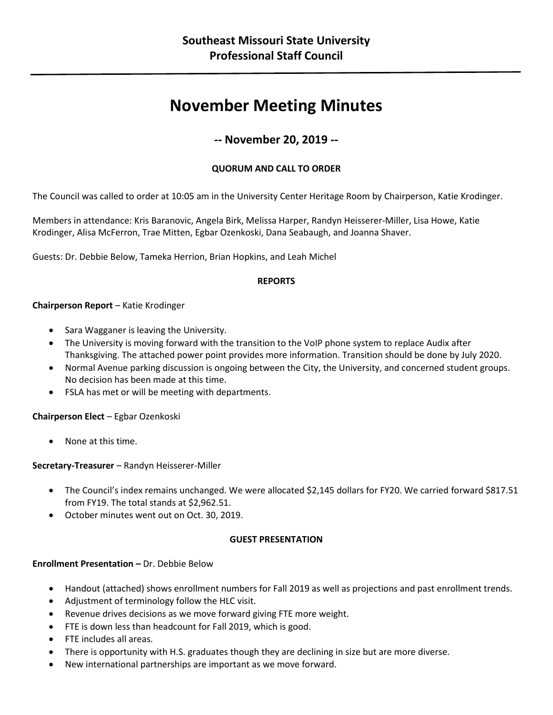# **November Meeting Minutes**

# **-- November 20, 2019 --**

# **QUORUM AND CALL TO ORDER**

The Council was called to order at 10:05 am in the University Center Heritage Room by Chairperson, Katie Krodinger.

Members in attendance: Kris Baranovic, Angela Birk, Melissa Harper, Randyn Heisserer-Miller, Lisa Howe, Katie Krodinger, Alisa McFerron, Trae Mitten, Egbar Ozenkoski, Dana Seabaugh, and Joanna Shaver.

Guests: Dr. Debbie Below, Tameka Herrion, Brian Hopkins, and Leah Michel

# **REPORTS**

# **Chairperson Report** – Katie Krodinger

- Sara Wagganer is leaving the University.
- The University is moving forward with the transition to the VoIP phone system to replace Audix after Thanksgiving. The attached power point provides more information. Transition should be done by July 2020.
- Normal Avenue parking discussion is ongoing between the City, the University, and concerned student groups. No decision has been made at this time.
- FSLA has met or will be meeting with departments.

# **Chairperson Elect** – Egbar Ozenkoski

• None at this time.

# **Secretary-Treasurer** – Randyn Heisserer-Miller

- The Council's index remains unchanged. We were allocated \$2,145 dollars for FY20. We carried forward \$817.51 from FY19. The total stands at \$2,962.51.
- October minutes went out on Oct. 30, 2019.

# **GUEST PRESENTATION**

# **Enrollment Presentation –** Dr. Debbie Below

- Handout (attached) shows enrollment numbers for Fall 2019 as well as projections and past enrollment trends.
- Adjustment of terminology follow the HLC visit.
- Revenue drives decisions as we move forward giving FTE more weight.
- FTE is down less than headcount for Fall 2019, which is good.
- FTE includes all areas.
- There is opportunity with H.S. graduates though they are declining in size but are more diverse.
- New international partnerships are important as we move forward.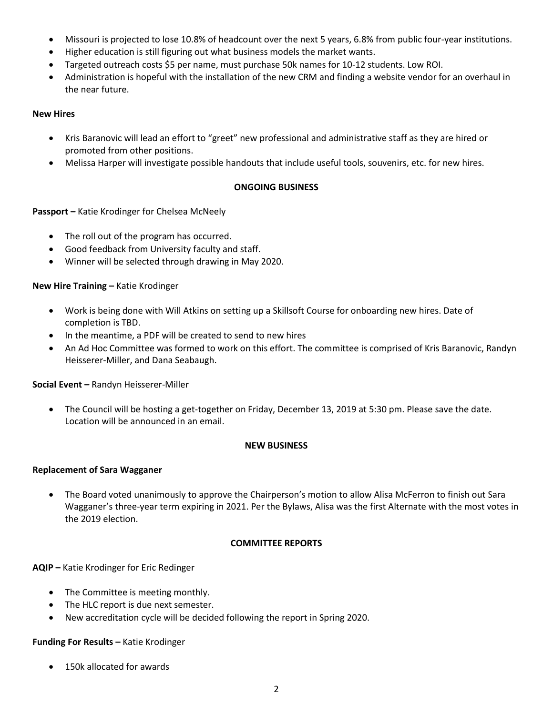- Missouri is projected to lose 10.8% of headcount over the next 5 years, 6.8% from public four-year institutions.
- Higher education is still figuring out what business models the market wants.
- Targeted outreach costs \$5 per name, must purchase 50k names for 10-12 students. Low ROI.
- Administration is hopeful with the installation of the new CRM and finding a website vendor for an overhaul in the near future.

# **New Hires**

- Kris Baranovic will lead an effort to "greet" new professional and administrative staff as they are hired or promoted from other positions.
- Melissa Harper will investigate possible handouts that include useful tools, souvenirs, etc. for new hires.

# **ONGOING BUSINESS**

# **Passport –** Katie Krodinger for Chelsea McNeely

- The roll out of the program has occurred.
- Good feedback from University faculty and staff.
- Winner will be selected through drawing in May 2020.

#### **New Hire Training –** Katie Krodinger

- Work is being done with Will Atkins on setting up a Skillsoft Course for onboarding new hires. Date of completion is TBD.
- In the meantime, a PDF will be created to send to new hires
- An Ad Hoc Committee was formed to work on this effort. The committee is comprised of Kris Baranovic, Randyn Heisserer-Miller, and Dana Seabaugh.

# **Social Event –** Randyn Heisserer-Miller

• The Council will be hosting a get-together on Friday, December 13, 2019 at 5:30 pm. Please save the date. Location will be announced in an email.

#### **NEW BUSINESS**

#### **Replacement of Sara Wagganer**

• The Board voted unanimously to approve the Chairperson's motion to allow Alisa McFerron to finish out Sara Wagganer's three-year term expiring in 2021. Per the Bylaws, Alisa was the first Alternate with the most votes in the 2019 election.

#### **COMMITTEE REPORTS**

**AQIP –** Katie Krodinger for Eric Redinger

- The Committee is meeting monthly.
- The HLC report is due next semester.
- New accreditation cycle will be decided following the report in Spring 2020.

#### **Funding For Results –** Katie Krodinger

• 150k allocated for awards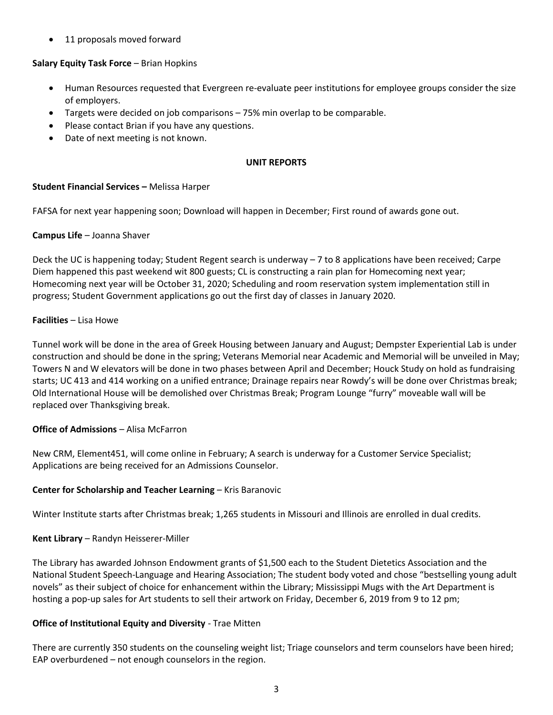11 proposals moved forward

# **Salary Equity Task Force** – Brian Hopkins

- Human Resources requested that Evergreen re-evaluate peer institutions for employee groups consider the size of employers.
- Targets were decided on job comparisons 75% min overlap to be comparable.
- Please contact Brian if you have any questions.
- Date of next meeting is not known.

#### **UNIT REPORTS**

# **Student Financial Services –** Melissa Harper

FAFSA for next year happening soon; Download will happen in December; First round of awards gone out.

# **Campus Life** – Joanna Shaver

Deck the UC is happening today; Student Regent search is underway – 7 to 8 applications have been received; Carpe Diem happened this past weekend wit 800 guests; CL is constructing a rain plan for Homecoming next year; Homecoming next year will be October 31, 2020; Scheduling and room reservation system implementation still in progress; Student Government applications go out the first day of classes in January 2020.

# **Facilities** – Lisa Howe

Tunnel work will be done in the area of Greek Housing between January and August; Dempster Experiential Lab is under construction and should be done in the spring; Veterans Memorial near Academic and Memorial will be unveiled in May; Towers N and W elevators will be done in two phases between April and December; Houck Study on hold as fundraising starts; UC 413 and 414 working on a unified entrance; Drainage repairs near Rowdy's will be done over Christmas break; Old International House will be demolished over Christmas Break; Program Lounge "furry" moveable wall will be replaced over Thanksgiving break.

# **Office of Admissions** – Alisa McFarron

New CRM, Element451, will come online in February; A search is underway for a Customer Service Specialist; Applications are being received for an Admissions Counselor.

# **Center for Scholarship and Teacher Learning** – Kris Baranovic

Winter Institute starts after Christmas break; 1,265 students in Missouri and Illinois are enrolled in dual credits.

# **Kent Library** – Randyn Heisserer-Miller

The Library has awarded Johnson Endowment grants of \$1,500 each to the Student Dietetics Association and the National Student Speech-Language and Hearing Association; The student body voted and chose "bestselling young adult novels" as their subject of choice for enhancement within the Library; Mississippi Mugs with the Art Department is hosting a pop-up sales for Art students to sell their artwork on Friday, December 6, 2019 from 9 to 12 pm;

# **Office of Institutional Equity and Diversity** - Trae Mitten

There are currently 350 students on the counseling weight list; Triage counselors and term counselors have been hired; EAP overburdened – not enough counselors in the region.